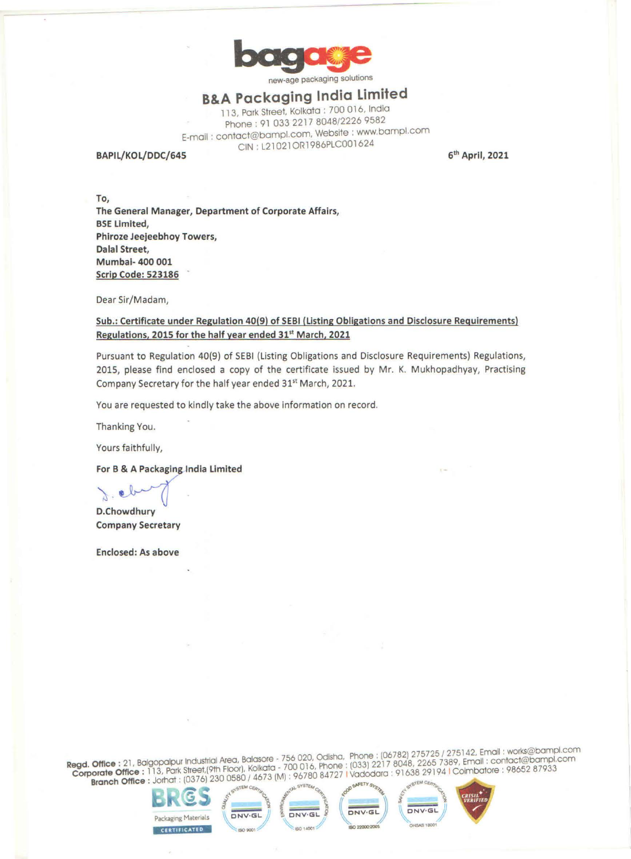

new-age packaging solutions

## **B&A Packaging India Limited**

113, Park Street. Kolkata : 700 016, India Phone: 91 033 2217 8048/2226 9582 E-mail : contact@bampl.com, Website : www.bampl.com CIN: L21021ORl986PLC001624

**BAPIL/KOL/DDC/645** 

**61h April, 2021** 

**To, The General Manager, Department of Corporate Affairs, BSE Limited,** , **Phlroze Jeejeebhoy Towers, Dalal Street, Mumbai- 400 001 Scrip Code: 523186** 

Dear Sir/Madam,

Sub.: Certificate under Regulation 40(9) of SEBI (Listing Obligations and Disclosure Requirements) **egu at,ons, 2015 for the half year ended 31'<sup>1</sup>March, 2021** 

Pursuant to Regulation 40(9) of SEBI (Listing Obligations and Disclosure Requirements) Regulations, 2015, please find enclosed a copy of the certificate issued by Mr. K. Mukhopadhyay, Practising Company Secretary for the half year ended 31<sup>st</sup> March, 2021.

You are requested to kindly take the above information on record.

Thanking You.

Yours faithfully,

For B & A Packaging India Limited

 $\circ \vee$ 

**D.Chowdhury Company Secretary** 

**Enclosed: As above** 

**Register of the set of industrial Area, Balasore - 756 020, Odisha, Phone: (06782) 275725 / 275142, Email: world pampl.com egd. Office :** 21, Balgopape Park Street (9th Floor). Kolkata - 700 016, Phone : (033) 2217 8048, 2265 7369, Embatore : 08652 87933 **Brate Office:** 113, Palk 31601241, 2300580/ 4673 **(M): 96780 84727 I Vadodara: 91638 29194 I Colmbatore: 98662 8793**